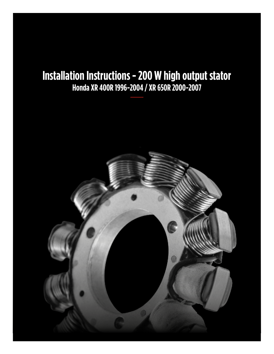# **Installation Instructions - 200 W high output stator Honda XR 400R 1996-2004 / XR 650R 2000-2007**

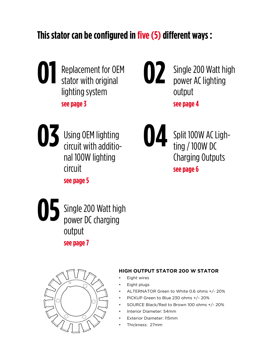# **This stator can be configured in five (5) different ways :**



Single 200 Watt high power AC lighting output **see page 4 02**



Using OEM lighting circuit with additional 100W lighting circuit





Split 100W AC Lighting / 100W DC Charging Outputs **see page 6**



Single 200 Watt high power DC charging output

**see page 7**



# **HIGH OUTPUT STATOR 200 W STATOR**

- **Eight wires**
- Eight plugs
- ALTERNATOR Green to White 0.6 ohms +/- 20%
- PICKUP Green to Blue 230 ohms +/- 20%
- SOURCE Black/Red to Brown 100 ohms +/- 20%
- Interior Diameter: 54mm
- Exterior Diameter: 115mm
- Thickness: 27mm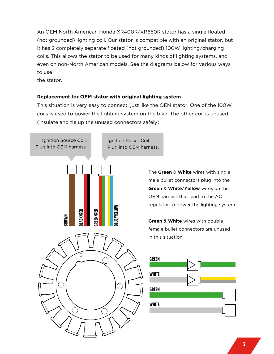An OEM North American Honda XR400R/XR650R stator has a single floated (not grounded) lighting coil. Our stator is compatible with an original stator, but it has 2 completely separate floated (not grounded) 100W lighting/charging coils. This allows the stator to be used for many kinds of lighting systems, and even on non-North American models. See the diagrams below for various ways to use

the stator.

# **Replacement for OEM stator with original lighting system**

This situation is very easy to connect, just like the OEM stator. One of the 100W coils is used to power the lighting system on the bike. The other coil is unused (insulate and tie up the unused connectors safely).



The **Green** & **White** wires with single male bullet connectors plug into the **Green** & **White**/**Yellow** wires on the OEM harness that lead to the AC regulator to power the lighting system.

**Green** & **White** wires with double female bullet connectors are unused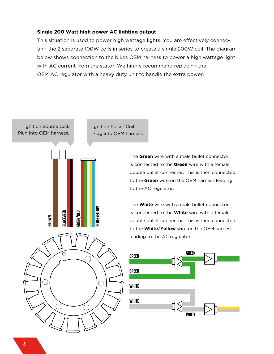#### **Single 200 Watt high power AC lighting output**

This situation is used to power high wattage lights. You are effectively connecting the 2 separate 100W coils in series to create a single 200W coil. The diagram below shows connection to the bikes OEM harness to power a high wattage light with AC current from the stator. We highly recommend replacing the OEM AC regulator with a heavy duty unit to handle the extra power.



The **Green** wire with a male bullet connector is connected to the Green wire with a female double bullet connector. This is then connected to the **Green** wire on the OEM harness leading to the AC regulator.

The **White** wire with a male bullet connector is connected to the **White** wire with a female double bullet connector. This is then connected to the **White**/**Yellow** wire on the OEM harness leading to the AC regulator.

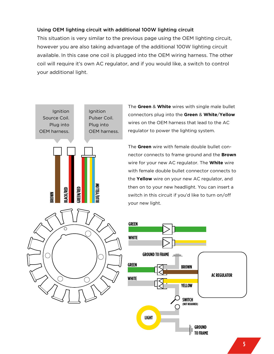### Using OEM lighting circuit with additional 100W lighting circuit

This situation is very similar to the previous page using the OEM lighting circuit, however you are also taking advantage of the additional 100W lighting circuit available. In this case one coil is plugged into the OEM wiring harness. The other coil will require it's own AC regulator, and if you would like, a switch to control your additional light.



The **Green** & **White** wires with single male bullet connectors plug into the **Green** & **White**/**Yellow** wires on the OEM harness that lead to the AC regulator to power the lighting system.

The **Green** wire with female double bullet connector connects to frame ground and the **Brown**  wire for your new AC regulator. The **White** wire with female double bullet connector connects to the **Yellow** wire on your new AC regulator, and then on to your new headlight. You can insert a switch in this circuit if you'd like to turn on/off your new light.

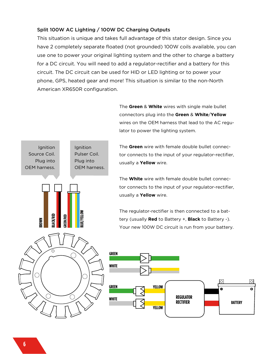# Split 100W AC Lighting / 100W DC Charging Outputs

This situation is unique and takes full advantage of this stator design. Since you have 2 completely separate floated (not grounded) 100W coils available, you can use one to power your original lighting system and the other to charge a battery for a DC circuit. You will need to add a regulator-rectifier and a battery for this circuit. The DC circuit can be used for HID or LED lighting or to power your phone, GPS, heated gear and more! This situation is similar to the non-North American XR650R configuration.

> The **Green** & **White** wires with single male bullet connectors plug into the **Green** & **White**/**Yellow**  wires on the OEM harness that lead to the AC regulator to power the lighting system.

> > **BATTERY**

ा

 $\Theta$